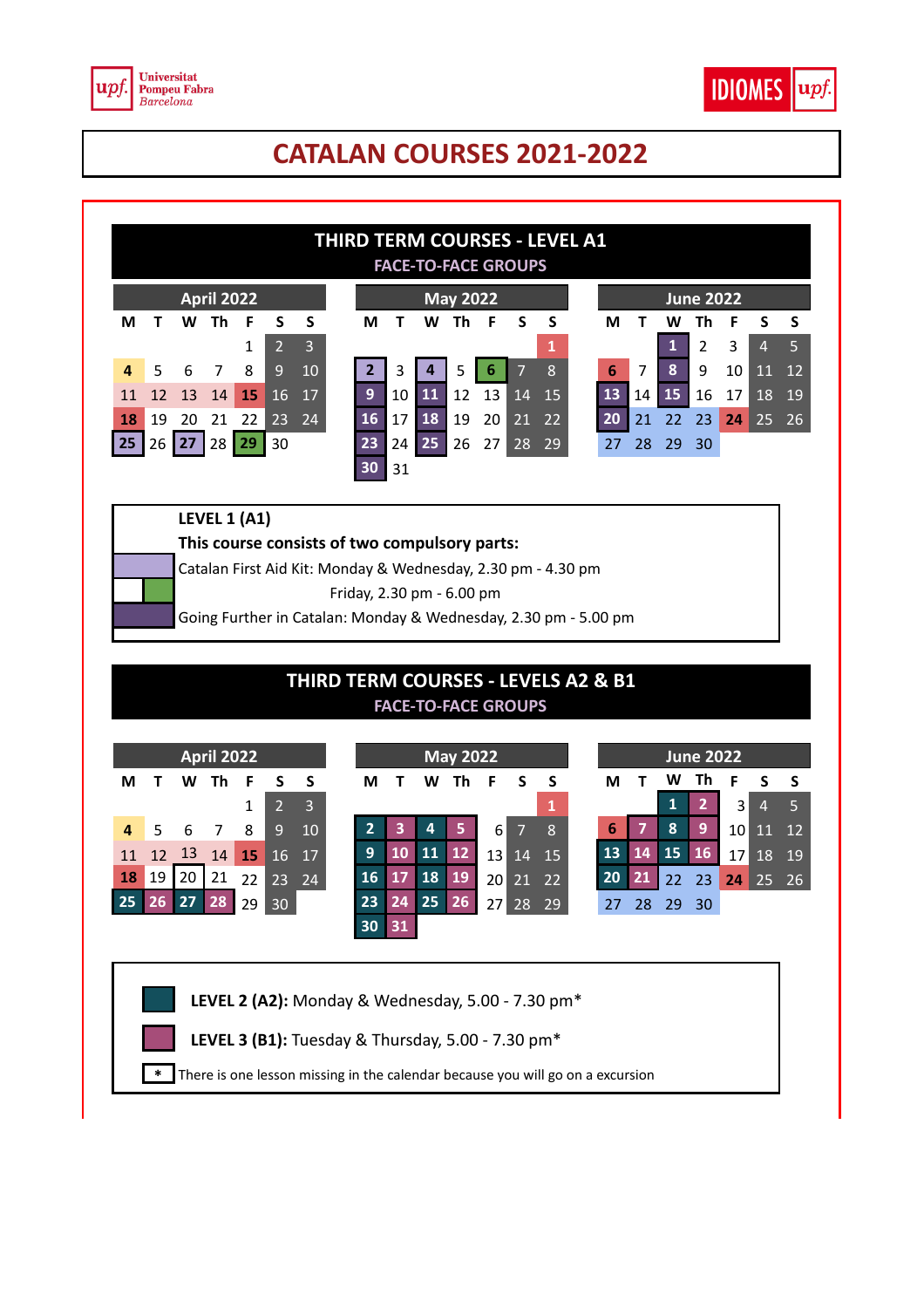

## **CATALAN COURSES 2021-2022**